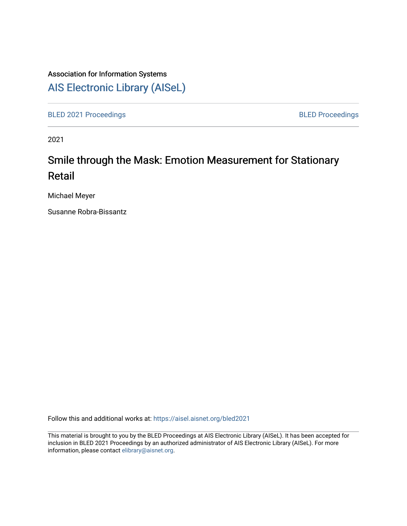# Association for Information Systems

[AIS Electronic Library \(AISeL\)](https://aisel.aisnet.org/)

[BLED 2021 Proceedings](https://aisel.aisnet.org/bled2021) **BLED Proceedings** 

2021

# Smile through the Mask: Emotion Measurement for Stationary Retail

Michael Meyer

Susanne Robra-Bissantz

Follow this and additional works at: [https://aisel.aisnet.org/bled2021](https://aisel.aisnet.org/bled2021?utm_source=aisel.aisnet.org%2Fbled2021%2F4&utm_medium=PDF&utm_campaign=PDFCoverPages) 

This material is brought to you by the BLED Proceedings at AIS Electronic Library (AISeL). It has been accepted for inclusion in BLED 2021 Proceedings by an authorized administrator of AIS Electronic Library (AISeL). For more information, please contact [elibrary@aisnet.org.](mailto:elibrary@aisnet.org%3E)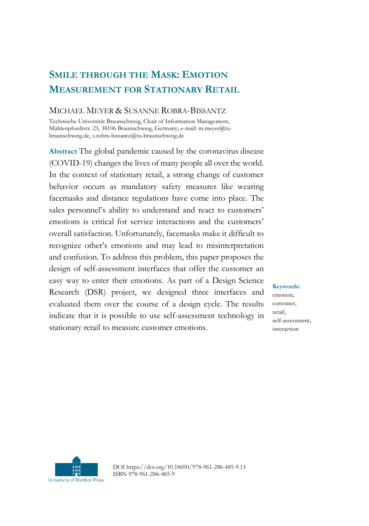# **SMILE THROUGH THE MASK: EMOTION MEASUREMENT FOR STATIONARY RETAIL**

# MICHAEL MEYER & SUSANNE ROBRA-BISSANTZ

Technische Universität Braunschweig, Chair of Information Management, Mühlenpfordtstr. 23, 38106 Braunschweig, Germany; e-mail: m.meyer@tubraunschweig.de, s.robra-bissantz@tu-braunschweig.de

**Abstract** The global pandemic caused by the coronavirus disease (COVID-19) changes the lives of many people all over the world. In the context of stationary retail, a strong change of customer behavior occurs as mandatory safety measures like wearing facemasks and distance regulations have come into place. The sales personnel's ability to understand and react to customers' emotions is critical for service interactions and the customers' overall satisfaction. Unfortunately, facemasks make it difficult to recognize other's emotions and may lead to misinterpretation and confusion. To address this problem, this paper proposes the design of self-assessment interfaces that offer the customer an easy way to enter their emotions. As part of a Design Science Research (DSR) project, we designed three interfaces and evaluated them over the course of a design cycle. The results indicate that it is possible to use self-assessment technology in stationary retail to measure customer emotions.

#### **Keywords:**

emotion, customer, retail, self-assessment, interaction



DOI https://doi.org/10.18690/978-961-286-485-9.15 ISBN 978-961-286-485-9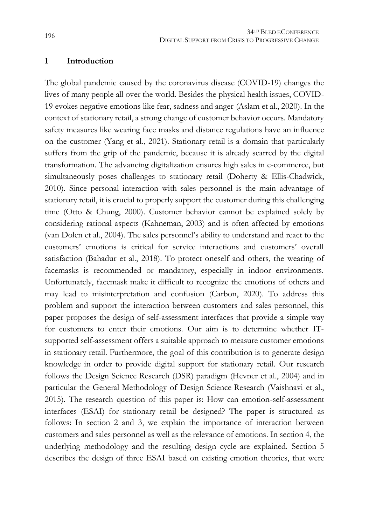#### **1 Introduction**

The global pandemic caused by the coronavirus disease (COVID-19) changes the lives of many people all over the world. Besides the physical health issues, COVID-19 evokes negative emotions like fear, sadness and anger (Aslam et al., 2020). In the context of stationary retail, a strong change of customer behavior occurs. Mandatory safety measures like wearing face masks and distance regulations have an influence on the customer (Yang et al., 2021). Stationary retail is a domain that particularly suffers from the grip of the pandemic, because it is already scarred by the digital transformation. The advancing digitalization ensures high sales in e-commerce, but simultaneously poses challenges to stationary retail (Doherty & Ellis-Chadwick, 2010). Since personal interaction with sales personnel is the main advantage of stationary retail, it is crucial to properly support the customer during this challenging time (Otto & Chung, 2000). Customer behavior cannot be explained solely by considering rational aspects (Kahneman, 2003) and is often affected by emotions (van Dolen et al., 2004). The sales personnel's ability to understand and react to the customers' emotions is critical for service interactions and customers' overall satisfaction (Bahadur et al., 2018). To protect oneself and others, the wearing of facemasks is recommended or mandatory, especially in indoor environments. Unfortunately, facemask make it difficult to recognize the emotions of others and may lead to misinterpretation and confusion (Carbon, 2020). To address this problem and support the interaction between customers and sales personnel, this paper proposes the design of self-assessment interfaces that provide a simple way for customers to enter their emotions. Our aim is to determine whether ITsupported self-assessment offers a suitable approach to measure customer emotions in stationary retail. Furthermore, the goal of this contribution is to generate design knowledge in order to provide digital support for stationary retail. Our research follows the Design Science Research (DSR) paradigm (Hevner et al., 2004) and in particular the General Methodology of Design Science Research (Vaishnavi et al., 2015). The research question of this paper is: How can emotion-self-assessment interfaces (ESAI) for stationary retail be designed? The paper is structured as follows: In section 2 and 3, we explain the importance of interaction between customers and sales personnel as well as the relevance of emotions. In section 4, the underlying methodology and the resulting design cycle are explained. Section 5 describes the design of three ESAI based on existing emotion theories, that were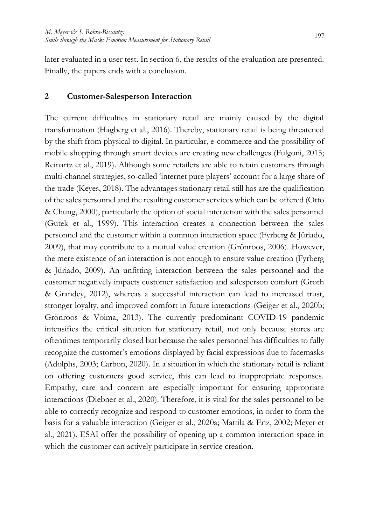later evaluated in a user test. In section 6, the results of the evaluation are presented. Finally, the papers ends with a conclusion.

# **2 Customer-Salesperson Interaction**

The current difficulties in stationary retail are mainly caused by the digital transformation (Hagberg et al., 2016). Thereby, stationary retail is being threatened by the shift from physical to digital. In particular, e-commerce and the possibility of mobile shopping through smart devices are creating new challenges (Fulgoni, 2015; Reinartz et al., 2019). Although some retailers are able to retain customers through multi-channel strategies, so-called 'internet pure players' account for a large share of the trade (Keyes, 2018). The advantages stationary retail still has are the qualification of the sales personnel and the resulting customer services which can be offered (Otto & Chung, 2000), particularly the option of social interaction with the sales personnel (Gutek et al., 1999). This interaction creates a connection between the sales personnel and the customer within a common interaction space (Fyrberg & Jüriado, 2009), that may contribute to a mutual value creation (Grönroos, 2006). However, the mere existence of an interaction is not enough to ensure value creation (Fyrberg & Jüriado, 2009). An unfitting interaction between the sales personnel and the customer negatively impacts customer satisfaction and salesperson comfort (Groth & Grandey, 2012), whereas a successful interaction can lead to increased trust, stronger loyalty, and improved comfort in future interactions (Geiger et al., 2020b; Grönroos & Voima, 2013). The currently predominant COVID-19 pandemic intensifies the critical situation for stationary retail, not only because stores are oftentimes temporarily closed but because the sales personnel has difficulties to fully recognize the customer's emotions displayed by facial expressions due to facemasks (Adolphs, 2003; Carbon, 2020). In a situation in which the stationary retail is reliant on offering customers good service, this can lead to inappropriate responses. Empathy, care and concern are especially important for ensuring appropriate interactions (Diebner et al., 2020). Therefore, it is vital for the sales personnel to be able to correctly recognize and respond to customer emotions, in order to form the basis for a valuable interaction (Geiger et al., 2020a; Mattila & Enz, 2002; Meyer et al., 2021). ESAI offer the possibility of opening up a common interaction space in which the customer can actively participate in service creation.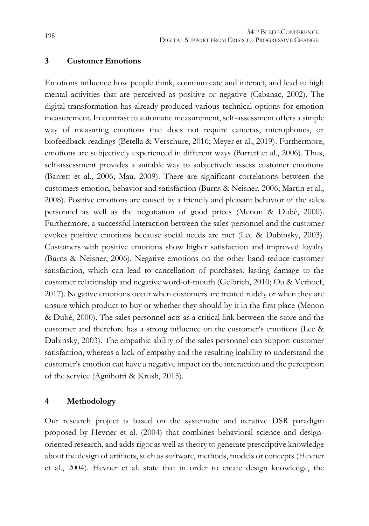## **3 Customer Emotions**

Emotions influence how people think, communicate and interact, and lead to high mental activities that are perceived as positive or negative (Cabanac, 2002). The digital transformation has already produced various technical options for emotion measurement. In contrast to automatic measurement, self-assessment offers a simple way of measuring emotions that does not require cameras, microphones, or biofeedback readings (Betella & Verschure, 2016; Meyer et al., 2019). Furthermore, emotions are subjectively experienced in different ways (Barrett et al., 2006). Thus, self-assessment provides a suitable way to subjectively assess customer emotions (Barrett et al., 2006; Mau, 2009). There are significant correlations between the customers emotion, behavior and satisfaction (Burns & Neisner, 2006; Martin et al., 2008). Positive emotions are caused by a friendly and pleasant behavior of the sales personnel as well as the negotiation of good prices (Menon & Dubé, 2000). Furthermore, a successful interaction between the sales personnel and the customer evokes positive emotions because social needs are met (Lee & Dubinsky, 2003). Customers with positive emotions show higher satisfaction and improved loyalty (Burns & Neisner, 2006). Negative emotions on the other hand reduce customer satisfaction, which can lead to cancellation of purchases, lasting damage to the customer relationship and negative word-of-mouth (Gelbrich, 2010; Ou & Verhoef, 2017). Negative emotions occur when customers are treated rudely or when they are unsure which product to buy or whether they should by it in the first place (Menon & Dubé, 2000). The sales personnel acts as a critical link between the store and the customer and therefore has a strong influence on the customer's emotions (Lee & Dubinsky, 2003). The empathic ability of the sales personnel can support customer satisfaction, whereas a lack of empathy and the resulting inability to understand the customer's emotion can have a negative impact on the interaction and the perception of the service (Agnihotri & Krush, 2015).

#### **4 Methodology**

Our research project is based on the systematic and iterative DSR paradigm proposed by Hevner et al. (2004) that combines behavioral science and designoriented research, and adds rigor as well as theory to generate prescriptive knowledge about the design of artifacts, such as software, methods, models or concepts (Hevner et al., 2004). Hevner et al. state that in order to create design knowledge, the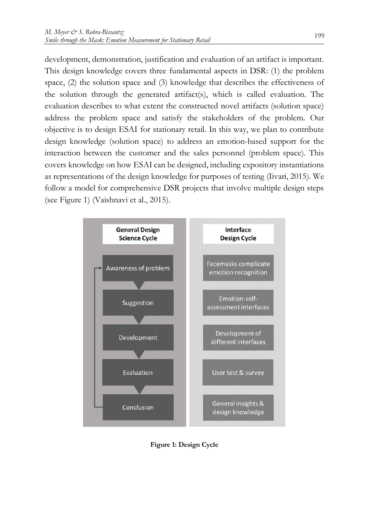development, demonstration, justification and evaluation of an artifact is important. This design knowledge covers three fundamental aspects in DSR: (1) the problem space, (2) the solution space and (3) knowledge that describes the effectiveness of the solution through the generated artifact(s), which is called evaluation. The evaluation describes to what extent the constructed novel artifacts (solution space) address the problem space and satisfy the stakeholders of the problem. Our objective is to design ESAI for stationary retail. In this way, we plan to contribute design knowledge (solution space) to address an emotion-based support for the interaction between the customer and the sales personnel (problem space). This covers knowledge on how ESAI can be designed, including expository instantiations as representations of the design knowledge for purposes of testing (Iivari, 2015). We follow a model for comprehensive DSR projects that involve multiple design steps (see Figure 1) (Vaishnavi et al., 2015).



**Figure 1: Design Cycle**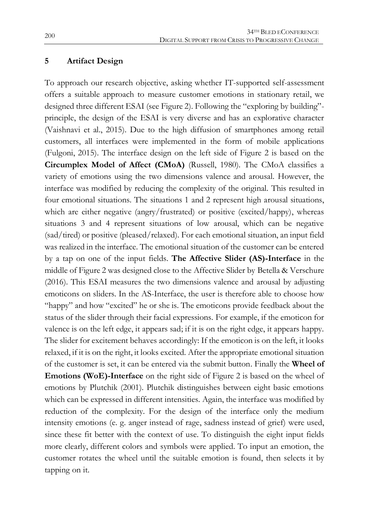#### **5 Artifact Design**

To approach our research objective, asking whether IT-supported self-assessment offers a suitable approach to measure customer emotions in stationary retail, we designed three different ESAI (see Figure 2). Following the "exploring by building" principle, the design of the ESAI is very diverse and has an explorative character (Vaishnavi et al., 2015). Due to the high diffusion of smartphones among retail customers, all interfaces were implemented in the form of mobile applications (Fulgoni, 2015). The interface design on the left side of Figure 2 is based on the **Circumplex Model of Affect (CMoA)** (Russell, 1980). The CMoA classifies a variety of emotions using the two dimensions valence and arousal. However, the interface was modified by reducing the complexity of the original. This resulted in four emotional situations. The situations 1 and 2 represent high arousal situations, which are either negative (angry/frustrated) or positive (excited/happy), whereas situations 3 and 4 represent situations of low arousal, which can be negative (sad/tired) or positive (pleased/relaxed). For each emotional situation, an input field was realized in the interface. The emotional situation of the customer can be entered by a tap on one of the input fields. **The Affective Slider (AS)-Interface** in the middle of Figure 2 was designed close to the Affective Slider by Betella & Verschure (2016). This ESAI measures the two dimensions valence and arousal by adjusting emoticons on sliders. In the AS-Interface, the user is therefore able to choose how "happy" and how "excited" he or she is. The emoticons provide feedback about the status of the slider through their facial expressions. For example, if the emoticon for valence is on the left edge, it appears sad; if it is on the right edge, it appears happy. The slider for excitement behaves accordingly: If the emoticon is on the left, it looks relaxed, if it is on the right, it looks excited. After the appropriate emotional situation of the customer is set, it can be entered via the submit button. Finally the **Wheel of Emotions (WoE)-Interface** on the right side of Figure 2 is based on the wheel of emotions by Plutchik (2001). Plutchik distinguishes between eight basic emotions which can be expressed in different intensities. Again, the interface was modified by reduction of the complexity. For the design of the interface only the medium intensity emotions (e. g. anger instead of rage, sadness instead of grief) were used, since these fit better with the context of use. To distinguish the eight input fields more clearly, different colors and symbols were applied. To input an emotion, the customer rotates the wheel until the suitable emotion is found, then selects it by tapping on it.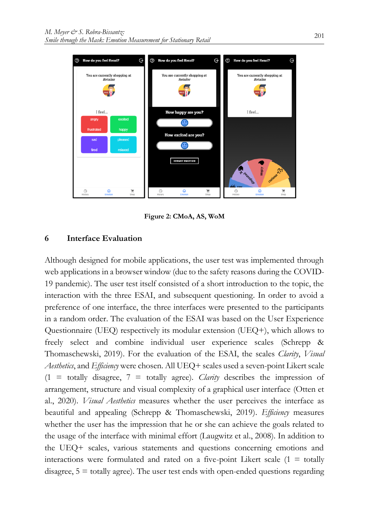

**Figure 2: CMoA, AS, WoM**

# **6 Interface Evaluation**

Although designed for mobile applications, the user test was implemented through web applications in a browser window (due to the safety reasons during the COVID-19 pandemic). The user test itself consisted of a short introduction to the topic, the interaction with the three ESAI, and subsequent questioning. In order to avoid a preference of one interface, the three interfaces were presented to the participants in a random order. The evaluation of the ESAI was based on the User Experience Questionnaire (UEQ) respectively its modular extension (UEQ+), which allows to freely select and combine individual user experience scales (Schrepp & Thomaschewski, 2019). For the evaluation of the ESAI, the scales *Clarity*, *Visual Aesthetics*, and *Efficiency* were chosen. All UEQ+ scales used a seven-point Likert scale  $(1 = totally disagree, 7 = totally agree).$  *Clarity* describes the impression of arrangement, structure and visual complexity of a graphical user interface (Otten et al., 2020). *Visual Aesthetics* measures whether the user perceives the interface as beautiful and appealing (Schrepp & Thomaschewski, 2019). *Efficiency* measures whether the user has the impression that he or she can achieve the goals related to the usage of the interface with minimal effort (Laugwitz et al., 2008). In addition to the UEQ+ scales, various statements and questions concerning emotions and interactions were formulated and rated on a five-point Likert scale  $(1 = \text{totally})$ disagree, 5 = totally agree). The user test ends with open-ended questions regarding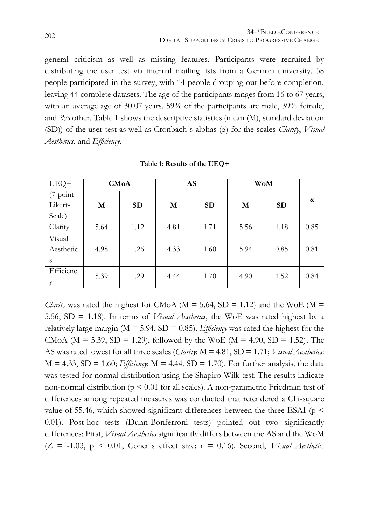general criticism as well as missing features. Participants were recruited by distributing the user test via internal mailing lists from a German university. 58 people participated in the survey, with 14 people dropping out before completion, leaving 44 complete datasets. The age of the participants ranges from 16 to 67 years, with an average age of 30.07 years. 59% of the participants are male, 39% female, and 2% other. Table 1 shows the descriptive statistics (mean (M), standard deviation (SD)) of the user test as well as Cronbach´s alphas (α) for the scales *Clarity*, *Visual Aesthetics*, and *Efficiency*.

| UEQ+      | <b>CMoA</b> |           |      | AS<br>WoM |      |           |      |  |
|-----------|-------------|-----------|------|-----------|------|-----------|------|--|
| (7-point  |             |           |      |           |      |           | α    |  |
| Likert-   | M           | <b>SD</b> | M    | <b>SD</b> | M    | <b>SD</b> |      |  |
| Scale)    |             |           |      |           |      |           |      |  |
| Clarity   | 5.64        | 1.12      | 4.81 | 1.71      | 5.56 | 1.18      | 0.85 |  |
| Visual    |             |           |      |           |      |           |      |  |
| Aesthetic | 4.98        | 1.26      | 4.33 | 1.60      | 5.94 | 0.85      | 0.81 |  |
| S         |             |           |      |           |      |           |      |  |
| Efficienc | 5.39        | 1.29      | 4.44 | 1.70      | 4.90 | 1.52      | 0.84 |  |
| v         |             |           |      |           |      |           |      |  |

**Table 1: Results of the UEQ+**

*Clarity* was rated the highest for CMoA ( $M = 5.64$ , SD = 1.12) and the WoE ( $M =$ 5.56, SD = 1.18). In terms of *Visual Aesthetics*, the WoE was rated highest by a relatively large margin ( $M = 5.94$ ,  $SD = 0.85$ ). *Efficiency* was rated the highest for the CMoA ( $M = 5.39$ ,  $SD = 1.29$ ), followed by the WoE ( $M = 4.90$ ,  $SD = 1.52$ ). The AS was rated lowest for all three scales (*Clarity*: M = 4.81, SD = 1.71; *Visual Aesthetics*:  $M = 4.33$ ,  $SD = 1.60$ ; *Efficiency*:  $M = 4.44$ ,  $SD = 1.70$ ). For further analysis, the data was tested for normal distribution using the Shapiro-Wilk test. The results indicate non-normal distribution ( $p \le 0.01$  for all scales). A non-parametric Friedman test of differences among repeated measures was conducted that retendered a Chi-square value of 55.46, which showed significant differences between the three ESAI ( $p \le$ 0.01). Post-hoc tests (Dunn-Bonferroni tests) pointed out two significantly differences: First, *Visual Aesthetics* significantly differs between the AS and the WoM (Z = -1.03, p < 0.01, Cohen's effect size: r = 0.16). Second, *Visual Aesthetics*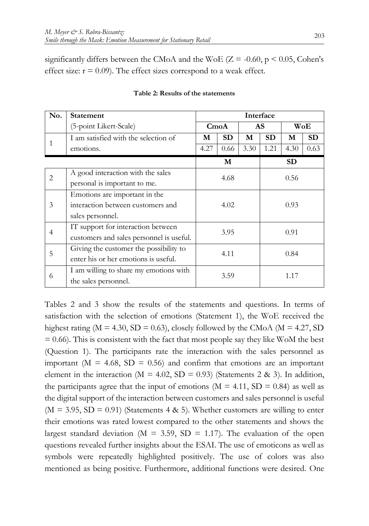significantly differs between the CMoA and the WoE  $(Z = -0.60, p \le 0.05,$  Cohen's effect size:  $r = 0.09$ ). The effect sizes correspond to a weak effect.

| No.            | <b>Statement</b>                         |                         | Interface |      |      |           |           |  |
|----------------|------------------------------------------|-------------------------|-----------|------|------|-----------|-----------|--|
|                | (5-point Likert-Scale)                   | AS<br>$C_{\text{m oA}}$ |           | WoE  |      |           |           |  |
|                | I am satisfied with the selection of     |                         | <b>SD</b> | M    | SD.  | M         | <b>SD</b> |  |
|                | emotions.                                | 4.27                    | 0.66      | 3.30 | 1.21 | 4.30      | 0.63      |  |
|                |                                          |                         | M         |      |      | <b>SD</b> |           |  |
| $\overline{2}$ | A good interaction with the sales        | 4.68                    |           | 0.56 |      |           |           |  |
|                | personal is important to me.             |                         |           |      |      |           |           |  |
|                | Emotions are important in the            |                         |           |      |      |           |           |  |
| 3              | interaction between customers and        | 4.02                    |           | 0.93 |      |           |           |  |
|                | sales personnel.                         |                         |           |      |      |           |           |  |
|                | IT support for interaction between       | 3.95                    |           |      | 0.91 |           |           |  |
| 4              | customers and sales personnel is useful. |                         |           |      |      |           |           |  |
| 5              | Giving the customer the possibility to   | 4.11                    |           |      |      |           |           |  |
|                | enter his or her emotions is useful.     |                         |           |      |      | 0.84      |           |  |
| 6              | I am willing to share my emotions with   | 3.59                    |           |      |      | 1.17      |           |  |
|                | the sales personnel.                     |                         |           |      |      |           |           |  |

#### **Table 2: Results of the statements**

Tables 2 and 3 show the results of the statements and questions. In terms of satisfaction with the selection of emotions (Statement 1), the WoE received the highest rating ( $M = 4.30$ ,  $SD = 0.63$ ), closely followed by the CMoA ( $M = 4.27$ , SD  $= 0.66$ ). This is consistent with the fact that most people say they like WoM the best (Question 1). The participants rate the interaction with the sales personnel as important ( $M = 4.68$ ,  $SD = 0.56$ ) and confirm that emotions are an important element in the interaction ( $M = 4.02$ ,  $SD = 0.93$ ) (Statements 2 & 3). In addition, the participants agree that the input of emotions ( $M = 4.11$ ,  $SD = 0.84$ ) as well as the digital support of the interaction between customers and sales personnel is useful  $(M = 3.95, SD = 0.91)$  (Statements 4 & 5). Whether customers are willing to enter their emotions was rated lowest compared to the other statements and shows the largest standard deviation ( $M = 3.59$ ,  $SD = 1.17$ ). The evaluation of the open questions revealed further insights about the ESAI. The use of emoticons as well as symbols were repeatedly highlighted positively. The use of colors was also mentioned as being positive. Furthermore, additional functions were desired. One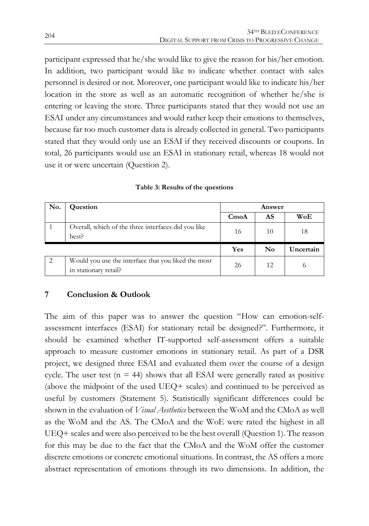participant expressed that he/she would like to give the reason for his/her emotion. In addition, two participant would like to indicate whether contact with sales personnel is desired or not. Moreover, one participant would like to indicate his/her location in the store as well as an automatic recognition of whether he/she is entering or leaving the store. Three participants stated that they would not use an ESAI under any circumstances and would rather keep their emotions to themselves, because far too much customer data is already collected in general. Two participants stated that they would only use an ESAI if they received discounts or coupons. In total, 26 participants would use an ESAI in stationary retail, whereas 18 would not use it or were uncertain (Question 2).

| No. | Question                                                                     | <b>Answer</b>    |                |           |  |
|-----|------------------------------------------------------------------------------|------------------|----------------|-----------|--|
|     |                                                                              | $C_{\text{mod}}$ | AS             | WoE       |  |
|     | Overall, which of the three interfaces did you like<br>best?                 | 16               | 10             | 18        |  |
|     |                                                                              | Yes              | $\mathbf{N_0}$ | Uncertain |  |
|     | Would you use the interface that you liked the most<br>in stationary retail? | 26               | 12             |           |  |

|  |  |  | Table 3: Results of the questions |
|--|--|--|-----------------------------------|
|--|--|--|-----------------------------------|

# **7 Conclusion & Outlook**

The aim of this paper was to answer the question "How can emotion-selfassessment interfaces (ESAI) for stationary retail be designed?". Furthermore, it should be examined whether IT-supported self-assessment offers a suitable approach to measure customer emotions in stationary retail. As part of a DSR project, we designed three ESAI and evaluated them over the course of a design cycle. The user test ( $n = 44$ ) shows that all ESAI were generally rated as positive (above the midpoint of the used UEQ+ scales) and continued to be perceived as useful by customers (Statement 5). Statistically significant differences could be shown in the evaluation of *Visual Aesthetics* between the WoM and the CMoA as well as the WoM and the AS. The CMoA and the WoE were rated the highest in all UEQ+ scales and were also perceived to be the best overall (Question 1). The reason for this may be due to the fact that the CMoA and the WoM offer the customer discrete emotions or concrete emotional situations. In contrast, the AS offers a more abstract representation of emotions through its two dimensions. In addition, the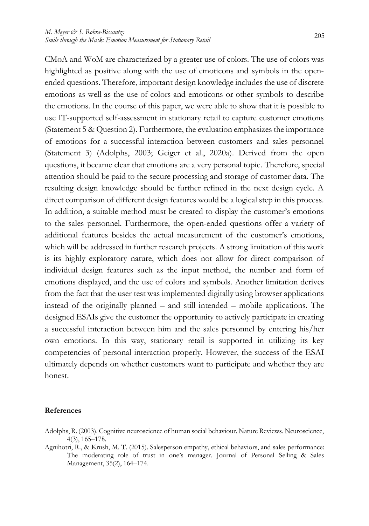highlighted as positive along with the use of emoticons and symbols in the openended questions. Therefore, important design knowledge includes the use of discrete emotions as well as the use of colors and emoticons or other symbols to describe the emotions. In the course of this paper, we were able to show that it is possible to use IT-supported self-assessment in stationary retail to capture customer emotions (Statement 5 & Question 2). Furthermore, the evaluation emphasizes the importance of emotions for a successful interaction between customers and sales personnel (Statement 3) (Adolphs, 2003; Geiger et al., 2020a). Derived from the open questions, it became clear that emotions are a very personal topic. Therefore, special attention should be paid to the secure processing and storage of customer data. The resulting design knowledge should be further refined in the next design cycle. A direct comparison of different design features would be a logical step in this process. In addition, a suitable method must be created to display the customer's emotions to the sales personnel. Furthermore, the open-ended questions offer a variety of additional features besides the actual measurement of the customer's emotions, which will be addressed in further research projects. A strong limitation of this work is its highly exploratory nature, which does not allow for direct comparison of individual design features such as the input method, the number and form of emotions displayed, and the use of colors and symbols. Another limitation derives from the fact that the user test was implemented digitally using browser applications instead of the originally planned – and still intended – mobile applications. The designed ESAIs give the customer the opportunity to actively participate in creating a successful interaction between him and the sales personnel by entering his/her own emotions. In this way, stationary retail is supported in utilizing its key competencies of personal interaction properly. However, the success of the ESAI ultimately depends on whether customers want to participate and whether they are honest.

#### **References**

- Adolphs, R. (2003). Cognitive neuroscience of human social behaviour. Nature Reviews. Neuroscience, 4(3), 165–178.
- Agnihotri, R., & Krush, M. T. (2015). Salesperson empathy, ethical behaviors, and sales performance: The moderating role of trust in one's manager. Journal of Personal Selling & Sales Management, 35(2), 164–174.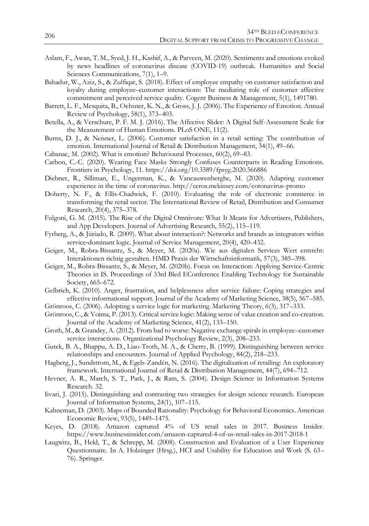- Aslam, F., Awan, T. M., Syed, J. H., Kashif, A., & Parveen, M. (2020). Sentiments and emotions evoked by news headlines of coronavirus disease (COVID-19) outbreak. Humanities and Social Sciences Communications, 7(1), 1–9.
- Bahadur, W., Aziz, S., & Zulfiqar, S. (2018). Effect of employee empathy on customer satisfaction and loyalty during employee–customer interactions: The mediating role of customer affective commitment and perceived service quality. Cogent Business & Management, 5(1), 1491780.
- Barrett, L. F., Mesquita, B., Ochsner, K. N., & Gross, J. J. (2006). The Experience of Emotion. Annual Review of Psychology, 58(1), 373–403.
- Betella, A., & Verschure, P. F. M. J. (2016). The Affective Slider: A Digital Self-Assessment Scale for the Measurement of Human Emotions. PLoS ONE, 11(2).
- Burns, D. J., & Neisner, L. (2006). Customer satisfaction in a retail setting: The contribution of emotion. International Journal of Retail & Distribution Management, 34(1), 49–66.
- Cabanac, M. (2002). What is emotion? Behavioural Processes, 60(2), 69–83.
- Carbon, C.-C. (2020). Wearing Face Masks Strongly Confuses Counterparts in Reading Emotions. Frontiers in Psychology, 11. https://doi.org/10.3389/fpsyg.2020.566886
- Diebner, R., Silliman, E., Ungerman, K., & Vancauwenberghe, M. (2020). Adapting customer experience in the time of coronavirus. http://ceros.mckinsey.com/coronavirus-promo
- Doherty, N. F., & Ellis-Chadwick, F. (2010). Evaluating the role of electronic commerce in transforming the retail sector. The International Review of Retail, Distribution and Consumer Research, 20(4), 375–378.
- Fulgoni, G. M. (2015). The Rise of the Digital Omnivore: What It Means for Advertisers, Publishers, and App Developers. Journal of Advertising Research, 55(2), 115–119.
- Fyrberg, A., & Jüriado, R. (2009). What about interaction?: Networks and brands as integrators within service-dominant logic. Journal of Service Management, 20(4), 420-432.
- Geiger, M., Robra-Bissantz, S., & Meyer, M. (2020a). Wie aus digitalen Services Wert entsteht: Interaktionen richtig gestalten. HMD Praxis der Wirtschaftsinformatik, 57(3), 385–398.
- Geiger, M., Robra-Bissantz, S., & Meyer, M. (2020b). Focus on Interaction: Applying Service-Centric Theories in IS. Proceedings of 33rd Bled EConference Enabling Technology for Sustainable Society, 665–672.
- Gelbrich, K. (2010). Anger, frustration, and helplessness after service failure: Coping strategies and effective informational support. Journal of the Academy of Marketing Science, 38(5), 567–585.
- Grönroos, C. (2006). Adopting a service logic for marketing. Marketing Theory, 6(3), 317–333.
- Grönroos, C., & Voima, P. (2013). Critical service logic: Making sense of value creation and co-creation. Journal of the Academy of Marketing Science, 41(2), 133–150.
- Groth, M., & Grandey, A. (2012). From bad to worse: Negative exchange spirals in employee–customer service interactions. Organizational Psychology Review, 2(3), 208–233.
- Gutek, B. A., Bhappu, A. D., Liao-Troth, M. A., & Cherry, B. (1999). Distinguishing between service relationships and encounters. Journal of Applied Psychology, 84(2), 218–233.
- Hagberg, J., Sundstrom, M., & Egels-Zandén, N. (2016). The digitalization of retailing: An exploratory framework. International Journal of Retail & Distribution Management, 44(7), 694–712.
- Hevner, A. R., March, S. T., Park, J., & Ram, S. (2004). Design Science in Information Systems Research. 32.
- Iivari, J. (2015). Distinguishing and contrasting two strategies for design science research. European Journal of Information Systems, 24(1), 107–115.
- Kahneman, D. (2003). Maps of Bounded Rationality: Psychology for Behavioral Economics. American Economic Review, 93(5), 1449–1475.
- Keyes, D. (2018). Amazon captured 4% of US retail sales in 2017. Business Insider. https://www.businessinsider.com/amazon-captured-4-of-us-retail-sales-in-2017-2018-1
- Laugwitz, B., Held, T., & Schrepp, M. (2008). Construction and Evaluation of a User Experience Questionnaire. In A. Holzinger (Hrsg.), HCI and Usability for Education and Work (S. 63– 76). Springer.